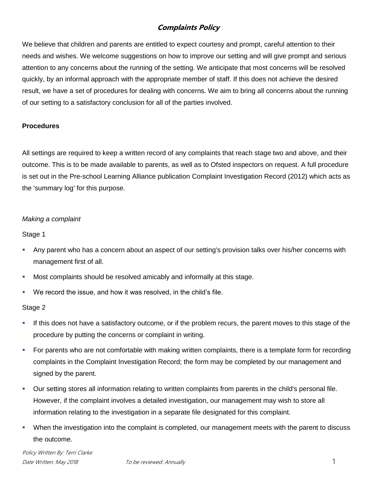# **Complaints Policy**

We believe that children and parents are entitled to expect courtesy and prompt, careful attention to their needs and wishes. We welcome suggestions on how to improve our setting and will give prompt and serious attention to any concerns about the running of the setting. We anticipate that most concerns will be resolved quickly, by an informal approach with the appropriate member of staff. If this does not achieve the desired result, we have a set of procedures for dealing with concerns. We aim to bring all concerns about the running of our setting to a satisfactory conclusion for all of the parties involved.

### **Procedures**

All settings are required to keep a written record of any complaints that reach stage two and above, and their outcome. This is to be made available to parents, as well as to Ofsted inspectors on request. A full procedure is set out in the Pre-school Learning Alliance publication Complaint Investigation Record (2012) which acts as the 'summary log' for this purpose.

#### *Making a complaint*

#### Stage 1

- Any parent who has a concern about an aspect of our setting's provision talks over his/her concerns with management first of all.
- Most complaints should be resolved amicably and informally at this stage.
- We record the issue, and how it was resolved, in the child's file.

#### Stage 2

- If this does not have a satisfactory outcome, or if the problem recurs, the parent moves to this stage of the procedure by putting the concerns or complaint in writing.
- For parents who are not comfortable with making written complaints, there is a template form for recording complaints in the Complaint Investigation Record; the form may be completed by our management and signed by the parent.
- Our setting stores all information relating to written complaints from parents in the child's personal file. However, if the complaint involves a detailed investigation, our management may wish to store all information relating to the investigation in a separate file designated for this complaint.
- When the investigation into the complaint is completed, our management meets with the parent to discuss the outcome.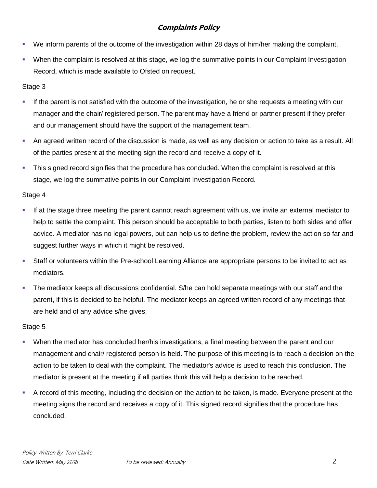# **Complaints Policy**

- We inform parents of the outcome of the investigation within 28 days of him/her making the complaint.
- When the complaint is resolved at this stage, we log the summative points in our Complaint Investigation Record, which is made available to Ofsted on request.

## Stage 3

- If the parent is not satisfied with the outcome of the investigation, he or she requests a meeting with our manager and the chair/ registered person. The parent may have a friend or partner present if they prefer and our management should have the support of the management team.
- An agreed written record of the discussion is made, as well as any decision or action to take as a result. All of the parties present at the meeting sign the record and receive a copy of it.
- **This signed record signifies that the procedure has concluded. When the complaint is resolved at this** stage, we log the summative points in our Complaint Investigation Record.

## Stage 4

- If at the stage three meeting the parent cannot reach agreement with us, we invite an external mediator to help to settle the complaint. This person should be acceptable to both parties, listen to both sides and offer advice. A mediator has no legal powers, but can help us to define the problem, review the action so far and suggest further ways in which it might be resolved.
- Staff or volunteers within the Pre-school Learning Alliance are appropriate persons to be invited to act as mediators.
- The mediator keeps all discussions confidential. S/he can hold separate meetings with our staff and the parent, if this is decided to be helpful. The mediator keeps an agreed written record of any meetings that are held and of any advice s/he gives.

## Stage 5

- When the mediator has concluded her/his investigations, a final meeting between the parent and our management and chair/ registered person is held. The purpose of this meeting is to reach a decision on the action to be taken to deal with the complaint. The mediator's advice is used to reach this conclusion. The mediator is present at the meeting if all parties think this will help a decision to be reached.
- A record of this meeting, including the decision on the action to be taken, is made. Everyone present at the meeting signs the record and receives a copy of it. This signed record signifies that the procedure has concluded.